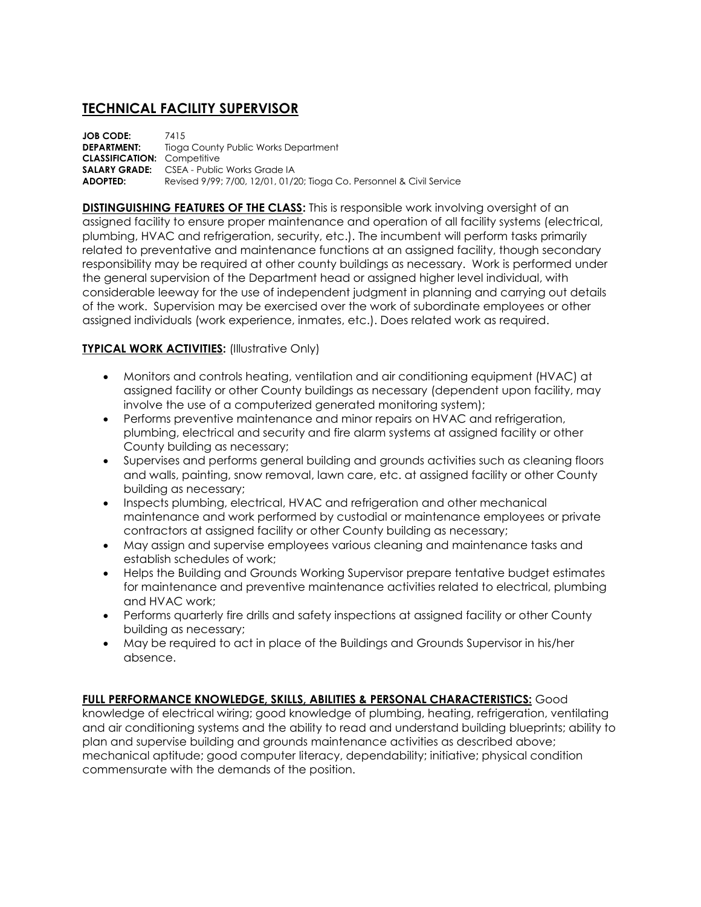## **TECHNICAL FACILITY SUPERVISOR**

**JOB CODE:** 7415 **DEPARTMENT:** Tioga County Public Works Department **CLASSIFICATION:** Competitive **SALARY GRADE:** CSEA - Public Works Grade IA **ADOPTED:** Revised 9/99; 7/00, 12/01, 01/20; Tioga Co. Personnel & Civil Service

**DISTINGUISHING FEATURES OF THE CLASS:** This is responsible work involving oversight of an assigned facility to ensure proper maintenance and operation of all facility systems (electrical, plumbing, HVAC and refrigeration, security, etc.). The incumbent will perform tasks primarily related to preventative and maintenance functions at an assigned facility, though secondary responsibility may be required at other county buildings as necessary. Work is performed under the general supervision of the Department head or assigned higher level individual, with considerable leeway for the use of independent judgment in planning and carrying out details of the work. Supervision may be exercised over the work of subordinate employees or other assigned individuals (work experience, inmates, etc.). Does related work as required.

## **TYPICAL WORK ACTIVITIES:** (Illustrative Only)

- Monitors and controls heating, ventilation and air conditioning equipment (HVAC) at assigned facility or other County buildings as necessary (dependent upon facility, may involve the use of a computerized generated monitoring system);
- Performs preventive maintenance and minor repairs on HVAC and refrigeration, plumbing, electrical and security and fire alarm systems at assigned facility or other County building as necessary;
- Supervises and performs general building and grounds activities such as cleaning floors and walls, painting, snow removal, lawn care, etc. at assigned facility or other County building as necessary;
- Inspects plumbing, electrical, HVAC and refrigeration and other mechanical maintenance and work performed by custodial or maintenance employees or private contractors at assigned facility or other County building as necessary;
- May assign and supervise employees various cleaning and maintenance tasks and establish schedules of work;
- Helps the Building and Grounds Working Supervisor prepare tentative budget estimates for maintenance and preventive maintenance activities related to electrical, plumbing and HVAC work;
- Performs quarterly fire drills and safety inspections at assigned facility or other County building as necessary;
- May be required to act in place of the Buildings and Grounds Supervisor in his/her absence.

## **FULL PERFORMANCE KNOWLEDGE, SKILLS, ABILITIES & PERSONAL CHARACTERISTICS:** Good

knowledge of electrical wiring; good knowledge of plumbing, heating, refrigeration, ventilating and air conditioning systems and the ability to read and understand building blueprints; ability to plan and supervise building and grounds maintenance activities as described above; mechanical aptitude; good computer literacy, dependability; initiative; physical condition commensurate with the demands of the position.